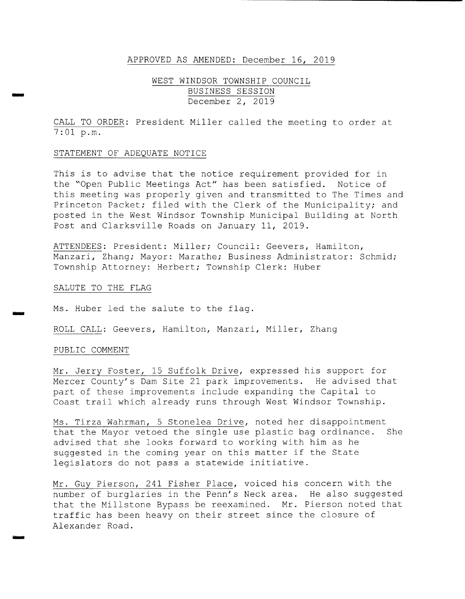#### APPROVED AS AMENDED: December 16, 2019

## WEST WINDSOR TOWNSHIP COUNCIL BUSINESS SESSION December 2, 2019

CALL TO ORDER: President Miller called the meeting to order at 7 : 01 p. m.

#### STATEMENT OF ADEQUATE NOTICE

This is to advise that the notice requirement provided for in the "Open Public Meetings Act" has been satisfied. Notice of this meeting was properly given and transmitted to The Times and Princeton Packet; filed with the Clerk of the Municipality; and posted in the West Windsor Township Municipal Building at North Post and Clarksville Roads on January 11, 2019 .

ATTENDEES: President: Miller; Council: Geevers, Hamilton, Manzari, Zhang; Mayor: Marathe; Business Administrator: Schmid; Township Attorney: Herbert; Township Clerk: Huber

## SALUTE TO THE FLAG

Ms. Huber led the salute to the flag.

ROLL CALL: Geevers, Hamilton, Manzari, Miller, Zhang

#### PUBLIC COMMENT

Mr. Jerry Foster, 15 Suffolk Drive, expressed his support for Mercer County's Dam Site 21 park improvements. He advised that part of these improvements include expanding the Capital to Coast trail which already runs through West Windsor Township.

Ms. Tirza Wahrman, 5 Stonelea Drive, noted her disappointment that the Mayor vetoed the single use plastic bag ordinance. She advised that she looks forward to working with him as he suggested in the coming year on this matter if the State legislators do not pass <sup>a</sup> statewide initiative .

Mr. Guy Pierson, 241 Fisher Place, voiced his concern with the number of burglaries in the Penn's Neck area. He also suggested that the Millstone Bypass be reexamined. Mr. Pierson noted that traffic has been heavy on their street since the closure of Alexander Road.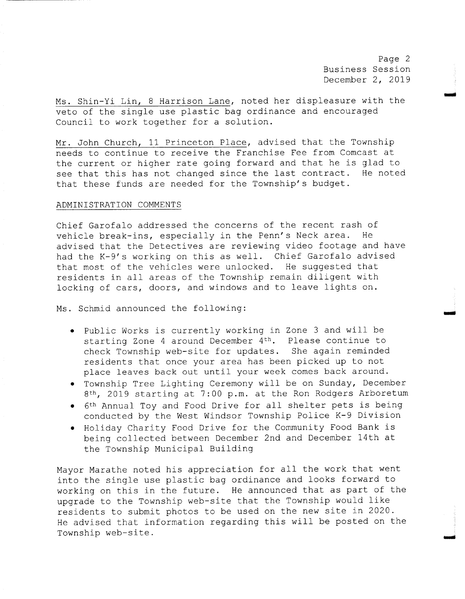Page 2 Business Session December 2, 2019

mai

تغيي

Ms. Shin-Yi Lin, 8 Harrison Lane, noted her displeasure with the veto of the single use plastic bag ordinance and encouraged Council to work together for <sup>a</sup> solution.

Mr. John Church, 11 Princeton Place, advised that the Township needs to continue to receive the Franchise Fee from Comcast at the current or higher rate going forward and that he is glad to see that this has not changed since the last contract. He noted that these funds are needed for the Township's budget.

## ADMINISTRATION COMMENTS

Chief Garofalo addressed the concerns of the recent rash of vehicle break-ins, especially in the Penn's Neck area. He advised that the Detectives are reviewing video footage and have had the K-9's working on this as well. Chief Garofalo advised that most of the vehicles were unlocked. He suggested that residents in all areas of the Township remain diligent with locking of cars, doors, and windows and to leave lights on.

Ms. Schmid announced the following:

- Public Works is currently working in Zone <sup>3</sup> and will be starting Zone 4 around December 4<sup>th</sup>. Please continue to check Township web-site for updates. She again reminded residents that once your area has been picked up to not place leaves back out until your week comes back around.
- Township Tree Lighting Ceremony will be on Sunday, December 8<sup>th</sup>, 2019 starting at 7:00 p.m. at the Ron Rodgers Arboretum
- 6th Annual Toy and Food Drive for all shelter pets is being conducted by the West Windsor Township Police K-9 Division
- Holiday Charity Food Drive for the Community Food Bank is being collected between December 2nd and December 14th at the Township Municipal Building

Mayor Marathe noted his appreciation for all the work that went into the single use plastic bag ordinance and looks forward to working on this in the future. He announced that as part of the upgrade to the Township web-site that the Township would like residents to submit photos to be used on the new site in 2020 . He advised that information regarding this will be posted on the Township web-site.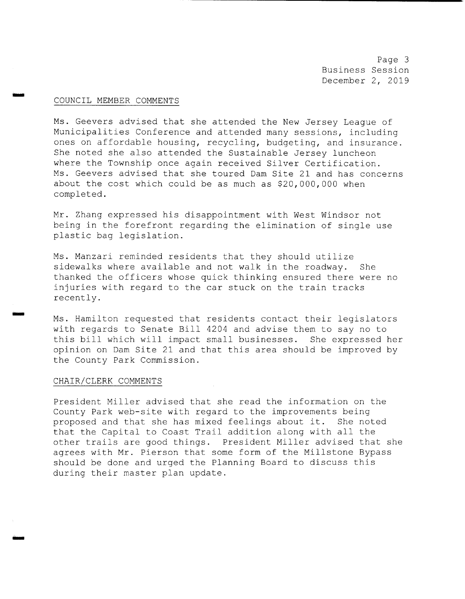Page 3 Business Session December 2, 2019

## COUNCIL MEMBER COMMENTS

aim

IMO

Ms . Geevers advised that she attended the New Jersey League of Municipalities Conference and attended many sessions, including ones on affordable housing, recycling, budgeting, and insurance. She noted she also attended the Sustainable Jersey luncheon where the Township once again received Silver Certification. Ms . Geevers advised that she toured Dam Site <sup>21</sup> and has concerns about the cost which could be as much as  $$20,000,000$  when completed.

Mr. Zhang expressed his disappointment with West Windsor not being in the forefront regarding the elimination of single use plastic bag legislation.

Ms. Manzari reminded residents that they should utilize sidewalks where available and not walk in the roadway. She thanked the officers whose quick thinking ensured there were no injuries with regard to the car stuck on the train tracks recently.

Ms. Hamilton requested that residents contact their legislators with regards to Senate Bill 4204 and advise them to say no to<br>this bill which will impact small businesses. She expressed her this bill which will impact small businesses. opinion on Dam Site <sup>21</sup> and that this area should be improved by the County Park Commission.

#### CHAIR/ CLERK COMMENTS

President Miller advised that she read the information on the County Park web- site with regard to the improvements being proposed and that she has mixed feelings about it. She noted that the Capital to Coast Trail addition along with all the other trails are good things. President Miller advised that she agrees with Mr. Pierson that some form of the Millstone Bypass should be done and urged the Planning Board to discuss this during their master plan update.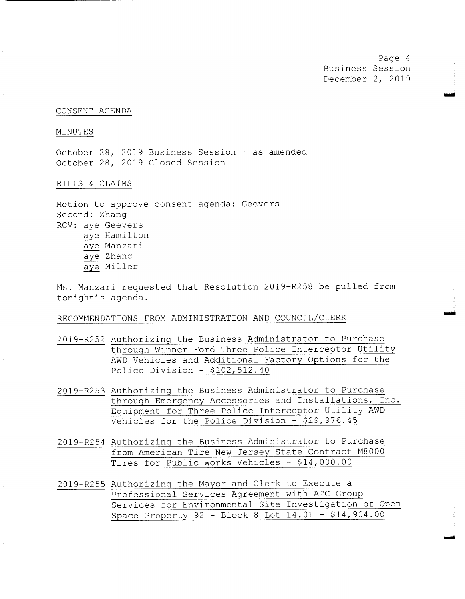Page <sup>4</sup> Business Session December 2, 2019

row

CONSENT AGENDA

MINUTES

October 28, 2019 Business Session - as amended October 28, 2019 Closed Session

BILLS & CLAIMS

Motion to approve consent agenda: Geevers Second: Zhang RCV: aye Geevers aye Hamilton aye Manzari aye Zhang aye Miller

Ms. Manzari requested that Resolution 2019-R258 be pulled from tonight's agenda.

RECOMMENDATIONS FROM ADMINISTRATION AND COUNCIL/CLERK

- 2019-R252 Authorizing the Business Administrator to Purchase through Winner Ford Three Police Interceptor Utility AWD Vehicles and Additional Factory Options for the Police Division -  $$102,512.40$
- 2019- R253 Authorizing the Business Administrator to Purchase through Emergency Accessories and Installations, Inc. Equipment for Three Police Interceptor Utility AWD Vehicles for the Police Division - \$29,976.45
- 2019- R254 Authorizing the Business Administrator to Purchase from American Tire New Jersey State Contract M8000 Tires for Public Works Vehicles - \$14,000.00

2019- R255 Authorizing the Mayor and Clerk to Execute <sup>a</sup> Professional Services Agreement with ATC Group Services for Environmental Site Investigation of Open Space Property 92 - Block 8 Lot 14.01 - \$14,904.00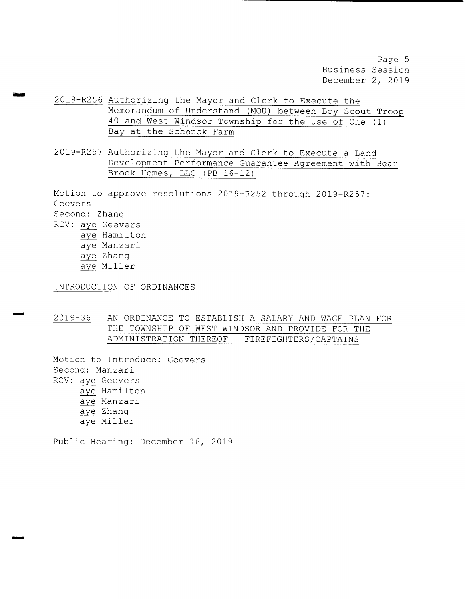Page 5 Business Session December 2, 2019

- 2019- R256 Authorizing the Mayor and Clerk to Execute the Memorandum of Understand ( MOU) between Boy Scout Troop 40 and West Windsor Township for the Use of One (1) Bay at the Schenck Farm
- 2019-R257 Authorizing the Mayor and Clerk to Execute a Land Development Performance Guarantee Agreement with Bear Brook Homes, LLC (PB 16-12)

Motion to approve resolutions 2019-R252 through 2019-R257: Geevers Second: Zhang

RCV: aye Geevers aye Hamilton aye Manzari aye Zhang aye Miller

r...

INTRODUCTION OF ORDINANCES

2019- 36 AN ORDINANCE TO ESTABLISH A SALARY AND WAGE PLAN FOR THE TOWNSHIP OF WEST WINDSOR AND PROVIDE FOR THE ADMINISTRATION THEREOF - FIREFIGHTERS/CAPTAINS

Motion to Introduce: Geevers Second: Manzari RCV: aye Geevers aye Hamilton aye Manzari aye Zhang aye Miller

Public Hearing: December 16, 2019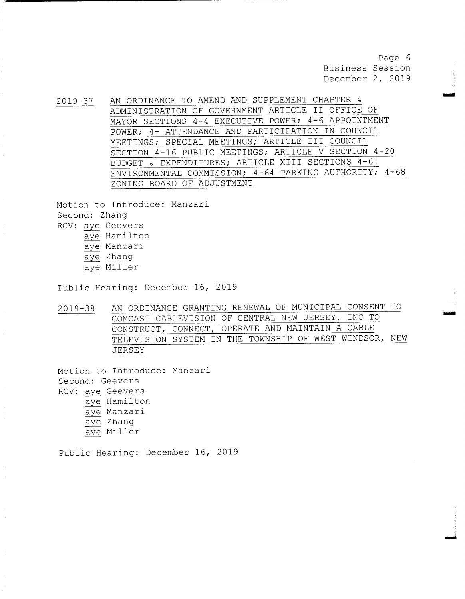Page 6 Business Session December 2, 2019

r.

mom

2019-37 AN ORDINANCE TO AMEND AND SUPPLEMENT CHAPTER 4 ADMINISTRATION OF GOVERNMENT ARTICLE II OFFICE OF MAYOR SECTIONS 4-4 EXECUTIVE POWER; 4-6 APPOINTMENT POWER; 4- ATTENDANCE AND PARTICIPATION IN COUNCIL MEETINGS; SPECIAL MEETINGS; ARTICLE III COUNCIL SECTION 4-16 PUBLIC MEETINGS; ARTICLE V SECTION 4-20 BUDGET & EXPENDITURES; ARTICLE XIII SECTIONS 4-61 ENVIRONMENTAL COMMISSION; 4-64 PARKING AUTHORITY; 4-68 ZONING BOARD OF ADJUSTMENT

Motion to Introduce: Manzari Second: Zhang RCV: aye Geevers aye Hamilton aye Manzari aye Zhang aye Miller

Public Hearing: December 16, 2019

2019- 38 AN ORDINANCE GRANTING RENEWAL OF MUNICIPAL CONSENT TO COMCAST CABLEVISION OF CENTRAL NEW JERSEY, INC TO CONSTRUCT, CONNECT, OPERATE AND MAINTAIN A CABLE TELEVISION SYSTEM IN THE TOWNSHIP OF WEST WINDSOR, NEW JERSEY

Motion to Introduce: Manzari Second: Geevers RCV: aye Geevers aye Hamilton aye Manzari aye Zhang aye Miller

Public Hearing: December 16, 2019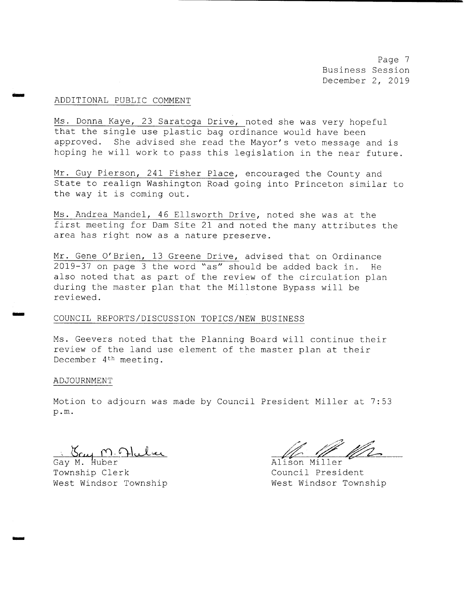Page <sup>7</sup> Business Session December 2, 2019

## ADDITIONAL PUBLIC COMMENT

Now

wOrw

Ms. Donna Kaye, 23 Saratoga Drive, noted she was very hopeful that the single use plastic bag ordinance would have been approved. She advised she read the Mayor's veto message and is hoping he will work to pass this legislation in the near future .

Mr. Guy Pierson, 241 Fisher Place, encouraged the County and State to realign Washington Road going into Princeton similar to the way it is coming out.

Ms. Andrea Mandel, 46 Ellsworth Drive, noted she was at the first meeting for Dam Site <sup>21</sup> and noted the many attributes the area has right now as <sup>a</sup> nature preserve.

Mr. Gene O'Brien, 13 Greene Drive, advised that on Ordinance 2019- <sup>37</sup> on page <sup>3</sup> the word " as" should be added back in. He also noted that as part of the review of the circulation plan during the master plan that the Millstone Bypass will be reviewed.

#### COUNCIL REPORTS/DISCUSSION TOPICS/NEW BUSINESS

Ms. Geevers noted that the Planning Board will continue their review of the land use element of the master plan at their December 4th meeting.

#### ADJOURNMENT

Motion to adjourn was made by Council President Miller at 7 : 53 p. m.

Gay M. Aluber<br>Gay M. Huber Alison Miller

Township Clerk Council President West Windsor Township West Windsor Township

r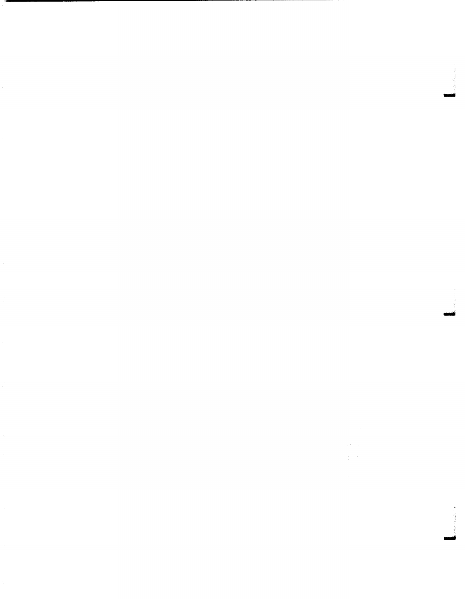maii

 $\label{eq:2} \frac{1}{\sqrt{2}}\left(\frac{1}{\sqrt{2}}\right)^{2} \left(\frac{1}{2}\right)^{2} \left(\frac{1}{2}\right)^{2} \left(\frac{1}{2}\right)^{2} \left(\frac{1}{2}\right)^{2} \left(\frac{1}{2}\right)^{2} \left(\frac{1}{2}\right)^{2} \left(\frac{1}{2}\right)^{2} \left(\frac{1}{2}\right)^{2} \left(\frac{1}{2}\right)^{2} \left(\frac{1}{2}\right)^{2} \left(\frac{1}{2}\right)^{2} \left(\frac{1}{2}\right)^{2} \left(\frac{1}{2}\right)^{2} \left(\$  $\label{eq:2} \frac{1}{2} \int_{\mathbb{R}^3} \frac{1}{\sqrt{2}} \, \frac{1}{\sqrt{2}} \, \frac{1}{\sqrt{2}} \, \frac{1}{\sqrt{2}} \, \frac{1}{\sqrt{2}} \, \frac{1}{\sqrt{2}} \, \frac{1}{\sqrt{2}} \, \frac{1}{\sqrt{2}} \, \frac{1}{\sqrt{2}} \, \frac{1}{\sqrt{2}} \, \frac{1}{\sqrt{2}} \, \frac{1}{\sqrt{2}} \, \frac{1}{\sqrt{2}} \, \frac{1}{\sqrt{2}} \, \frac{1}{\sqrt{2}} \, \frac{1}{\sqrt{2}} \, \frac$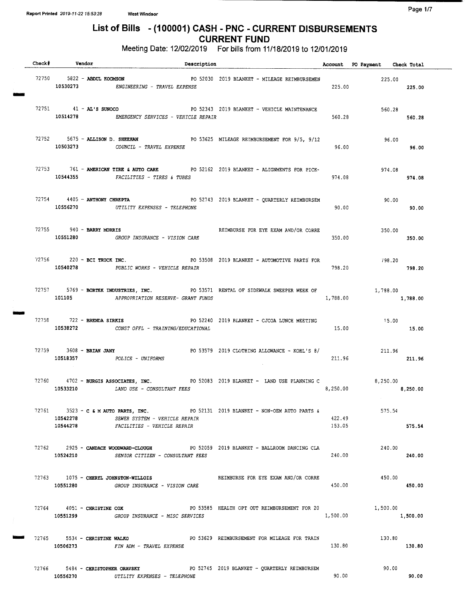## List of Bills - (100001) CASH - PNC - CURRENT DISBURSEMENTS CURRENT FUND

| Check# | Vendor                         |                                                                       | Description |                                                                                                                                                                                                                                                                                                                                                                                                    |                  | Account PO Payment Check Total |          |
|--------|--------------------------------|-----------------------------------------------------------------------|-------------|----------------------------------------------------------------------------------------------------------------------------------------------------------------------------------------------------------------------------------------------------------------------------------------------------------------------------------------------------------------------------------------------------|------------------|--------------------------------|----------|
|        | 72750 5822 - ABDUL KOOMSON     | 10530273 ENGINEERING - TRAVEL EXPENSE                                 |             | PO 52030 2019 BLANKET - MILEAGE REIMBURSEMEN                                                                                                                                                                                                                                                                                                                                                       | 225.00           | 225.00                         | 225.00   |
|        |                                | 10514278 EMERGENCY SERVICES - VEHICLE REPAIR                          |             | 72751 41 - AL'S SUNOCO 6 2343 2019 BLANKET - VEHICLE MAINTENANCE                                                                                                                                                                                                                                                                                                                                   | 560.28           | 560.28<br>560.28               |          |
|        | 10503273                       | COUNCIL - TRAVEL EXPENSE                                              |             | 72752 5675 - ALLISON D. SHEEHAN PO 53625 MILEAGE REIMBURSEMENT FOR 9/5, 9/12                                                                                                                                                                                                                                                                                                                       | 96.00            | 96.00                          | 96.00    |
|        |                                | 10544355 FACILITIES - TIRES & TUBES                                   |             | 72753 761 - AMERICAN TIRE & AUTO CARE PO 52162 2019 BLANKET - ALIGNMENTS FOR PICK-                                                                                                                                                                                                                                                                                                                 | 974.08           | 974.08                         | 974.08   |
|        |                                | 10556270 UTILITY EXPENSES - TELEPHONE                                 |             | 72754 4405 - ANTHONY CHREPTA <b>PO 52743</b> 2019 BLANKET - QUARTERLY REIMBURSEM                                                                                                                                                                                                                                                                                                                   | 90.00            | 90.00                          | 90.00    |
|        | 72755 940 - BARRY MORRIS       | 10551280 GROUP INSURANCE - VISION CARE                                |             | REIMBURSE FOR EYE EXAM AND/OR CORRE                                                                                                                                                                                                                                                                                                                                                                | 350.00           | 350.00<br>350.00               |          |
|        |                                | 10540278 PUBLIC WORKS - VEHICLE REPAIR                                |             | $72756$ 220 - BCI TRUCK INC. $PQ$ 53508 2019 BLANKET - AUTOMOTIVE PARTS FOR                                                                                                                                                                                                                                                                                                                        | 798.20           | 198.20                         | 798.20   |
|        |                                | 101105 APPROPRIATION RESERVE- GRANT FUNDS                             |             | 72757 5769 - BORTEK INDUSTRIES, INC. PO 53571 RENTAL OF SIDEWALK SWEEPER WEEK OF                                                                                                                                                                                                                                                                                                                   | 1,788.00         | 1,788.00                       | 1,788.00 |
|        | 72758 722 - BRENDA SIRKIS      | 10538272   CONST OFFL - TRAINING/EDUCATIONAL                          |             | PO 52240 2019 BLANKET - CJCOA LUNCH MEETING                                                                                                                                                                                                                                                                                                                                                        | 15.00            | 15.00                          | 15.00    |
|        |                                | 10518357 POLICE - UNIFORMS                                            |             | 72759 3608 - BRIAN JANY 67 100 100 100 2019 CLOTHING ALLOWANCE - KOHL'S 8/                                                                                                                                                                                                                                                                                                                         | 211.96           | 211.96                         | 211.96   |
|        |                                |                                                                       |             | $\begin{array}{ccccccccc} 72760 & & 4702 & - & \textbf{BURGIS ASSOCIATES, INC.} & & & \textbf{PO} & 52083 & 2019 BLANKET & - & LAND USE PLANNING C & & & 8,250.00 \\ & & & & & \textbf{LAND USE} & - & \textbf{CONSULTANT FEES} & & & \textbf{B.250.00} & & & \textbf{S.250.00} & & & \textbf{S.250.00} & & & \textbf{S.250.00} & & & \textbf{S.250.00} & & & \textbf{S.250.00} & & & \textbf{S.2$ |                  | 8,250.00                       | 8,250.00 |
|        | 10542278<br>10544278           | SEWER SYSTEM - VEHICLE REPAIR<br>FACILITIES - VEHICLE REPAIR          |             | 72761 3523 - C & M AUTO PARTS, INC. PO 52131 2019 BLANKET - NON-OEM AUTO PARTS &                                                                                                                                                                                                                                                                                                                   | 422.49<br>153.05 | 575.54                         | 575.54   |
|        |                                | 10524210 SENIOR CITIZEN - CONSULTANT FEES                             |             | 72762 2925 - CANDACE WOODWARD-CLOUGH PO 52059 2019 BLANKET - BALLROOM DANCING CLA                                                                                                                                                                                                                                                                                                                  | 240.00           | 240.00                         | 240.00   |
|        | 10551280                       | 72763 1075 - CHERYL JOHNSTON-WILLOIS<br>GROUP INSURANCE - VISION CARE |             | REIMBURSE FOR EYE EXAM AND/OR CORRE                                                                                                                                                                                                                                                                                                                                                                | 450.00           | 450.00                         | 450.00   |
|        | $72764$ $4051$ - CHRISTINE COX | 10551299 GROUP INSURANCE - MISC SERVICES                              |             | PO 53585 HEALTH OPT OUT REIMBURSEMENT FOR 20                                                                                                                                                                                                                                                                                                                                                       | 1,500.00         | 1,500.00<br>1,500.00           |          |
|        |                                | 10506273 FIN ADM - TRAVEL EXPENSE                                     |             | 72765 5534 - CHRISTINE WALKO 63629 REIMBURSEMENT FOR MILEAGE FOR TRAIN                                                                                                                                                                                                                                                                                                                             | 130.80           | 130.80                         | 130.80   |
|        | 10556270                       | UTILITY EXPENSES - TELEPHONE                                          |             | 72766 5484 - CHRISTOPHER ORAVSKY 600 PO 52745 2019 BLANKET - QUARTERLY REIMBURSEM                                                                                                                                                                                                                                                                                                                  | 90.00            | 90.00                          | 90.00    |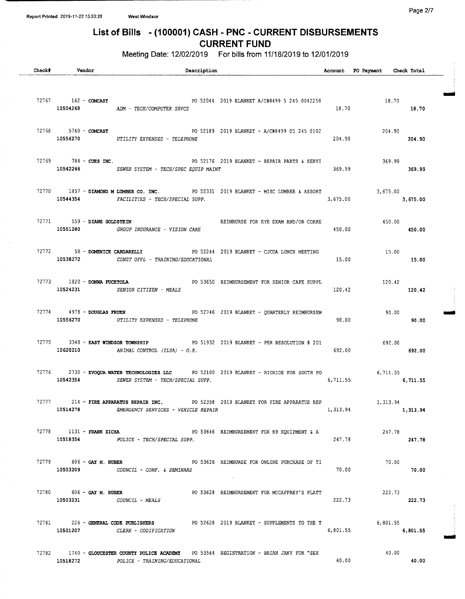# List of Bills - ( 100001) CASH - PNC - CURRENT DISBURSEMENTS CURRENT FUND

|       | Check# Vendor               | Description                                                                                                                         |                                                                                                  |          | Account PO Payment Check Total |          |
|-------|-----------------------------|-------------------------------------------------------------------------------------------------------------------------------------|--------------------------------------------------------------------------------------------------|----------|--------------------------------|----------|
|       |                             | 10504268 ADM - TECH/COMPUTER SRVCS                                                                                                  |                                                                                                  | 18.70    | 18.70                          | 18.70    |
|       | 72768 5760 - COMCAST        | 10556270 UTILITY EXPENSES - TELEPHONE                                                                                               | PO 52189 2019 BLANKET - A/C#8499 05 245 0102                                                     | 204.90   | 204.90<br>204.90               |          |
|       |                             | 10542266 SEWER SYSTEM - TECH/SPEC EQUIP MAINT                                                                                       | 72769 784 - CUES INC. THE REPORT OF STRAIN OF STRAIN ORDER TO A SERVE                            | 369.99   | 369.99<br>369.99               |          |
|       |                             | 10544354 FACILITIES - TECH/SPECIAL SUPP.                                                                                            | 72770 1857 - DIAMOND M LUMBER CO. INC. PO 52331 2019 BLANKET - MISC LUMBER & ASSORT 3,675.00     | 3,675.00 |                                | 3,675.00 |
|       | 72771 559 - DIANE GOLDSTEIN | 10551280 GROUP INSURANCE - VISION CARE                                                                                              | REIMBURSE FOR EYE EXAM AND/OR CORRE                                                              | 450.00   | $450.00$ $450.00$              |          |
|       |                             | 10538272 CONST OFFL - TRAINING/EDUCATIONAL                                                                                          | 72772 58 - DOMENICK CARDARELLI PO 52244 2019 BLANKET - CJCOA LUNCH MEETING                       | 15.00    | 15.00<br>15.00                 |          |
|       |                             | 10524231 SENIOR CITIZEN - MEALS                                                                                                     | 72773 1820 - DONNA FUCETOLA PO 53650 REIMBURSEMENT FOR SENIOR CAFE SUPPL                         | 120.42   | 120.42                         | 120.42   |
|       |                             | 10556270 UTILITY EXPENSES - TELEPHONE                                                                                               | 72774 4978 - DOUGLAS FRUEH PO 52746 2019 BLANKET - QUARTERLY REIMBURSEM                          | 90.00    | 90.00                          | 90.00    |
|       |                             | $10620210$ ANIMAL CONTROL (ILSA) - O.E.                                                                                             | 72775 3348 - EAST WINDSOR TOWNSHIP POST932 2019 BLANKET - PER RESOLUTION # 201                   | 692.00   | 692.00<br>692.00               |          |
|       |                             | 10542354 SEWER SYSTEM - TECH/SPECIAL SUPP.                                                                                          | 72776 2730 - EVOQUA WATER TECHNOLOGIES LLC PO 52100 2019 BLANKET - BIOXIDE FOR SOUTH PO 6,711.55 | 6,711.55 |                                | 6,711.55 |
| 72777 | 10514278                    | 214 - FIRE APPARATUS REPAIR INC.<br>EMERGENCY SERVICES - VEHICLE REPAIR                                                             | PO 52358 2019 BLANKET FOR FIRE APPARATUS REP                                                     | 1,313.94 | 1,313.94                       | 1,313.94 |
|       |                             | 10518354 POLICE - TECH/SPECIAL SUPP.                                                                                                | 72778 1131 - FRANK ZICHA 120 120 13646 REIMBURSEMENT FOR K9 EQUIPMENT & A                        | 247.78   | 247.78                         | 247.78   |
|       | 72779 606 - GAY M. HUBER    | 10503209 COUNCIL - CONF. & SEMINARS                                                                                                 | PO 53626 REIMBURSE FOR ONLINE PURCHASE OF TI                                                     | 70.00    | 70.00                          | 70.00    |
|       | 72780 606 - GAY M. HUBER    |                                                                                                                                     | PO 53628 REIMBURSEMENT FOR MCCAFFREY'S PLATT                                                     | 222.73   | 222.73                         | 222.73   |
|       |                             | 10501207 CLERK - CODIFICATION                                                                                                       | 72781 226 - GENERAL CODE PUBLISHERS 60 2019 BLANKET - SUPPLEMENTS TO THE T                       | 6,801.55 | 6,801.55                       | 6,801.55 |
|       |                             | 72782 1740 - GLOUCESTER COUNTY POLICE ACADEMY PO 53564 REGISTRATION - BRIAN JANY FOR "SEX<br>10518272 POLICE - TRAINING/EDUCATIONAL |                                                                                                  | 40.00    | 40.00                          | 40.00    |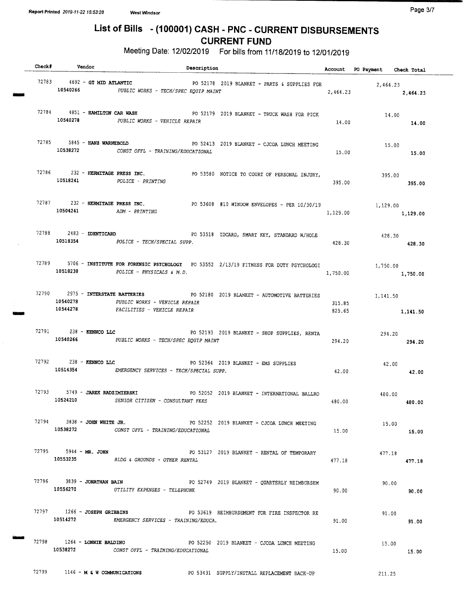MIMI

MIMM

ONO

| Check# Vendor                      | Description                                                                                                                                                               |          | Account PO Payment Check Total |                    |
|------------------------------------|---------------------------------------------------------------------------------------------------------------------------------------------------------------------------|----------|--------------------------------|--------------------|
| 72783 $4692 - GT MID ATLANTIC$     | PO 52178 2019 BLANKET - PARTS & SUPPLIES FOR 2,464.23<br>10540266 PUBLIC WORKS - TECH/SPEC EQUIP MAINT                                                                    |          | 2,464.23 2,464.23              |                    |
|                                    | 72784 4851 - HAMILTON CAR WASH PO 52179 2019 BLANKET - TRUCK WASH FOR PICK<br>10540278 PUBLIC WORKS - VEHICLE REPAIR                                                      | 14.00    | 14.00                          | 14.00              |
| 72785 5845 - HANS WARNEBOLD        | PO 52413 2019 BLANKET - CJCOA LUNCH MEETING<br>10538272 CONST OFFL - TRAINING/EDUCATIONAL                                                                                 | 15.00    | 15.00                          | 15.00              |
| 10518241 POLICE - PRINTING         | 72786 232 - HERMITAGE PRESS INC. PO 53580 NOTICE TO COURT OF PERSONAL INJURY,                                                                                             | 395.00   | 395.00                         | 395.00             |
| 10504241 ADM - PRINTING            | 72787 232 - HERMITAGE PRESS INC. PO 53608 #10 WINDOW ENVELOPES - PER 10/30/19 1,129.00                                                                                    | 1,129.00 |                                | 1,129.00           |
|                                    | 10518354 POLICE - TECH/SPECIAL SUPP.                                                                                                                                      | 428.30   | 428.30                         | 428.30             |
| 10518238                           | 72789 5706 - INSTITUTE FOR FORENSIC PSYCHOLOGY PO 53552 2/13/19 FITNESS FOR DUTY PSYCHOLOGI 1,750.00<br>POLICE - PHYSICALS & M.D.                                         | 1,750.00 | 1,750.00                       |                    |
|                                    | 72790 2975 - INTERSTATE BATTERIES PO 52180 2019 BLANKET - AUTOMOTIVE BATTERIES 1,141.50<br>10540278 PUBLIC WORKS - VEHICLE REPAIR<br>10544278 FACILITIES - VEHICLE REPAIR | 315.85   | 825.65 1,141.50                |                    |
| 72791 238 - KENNCO LLC<br>10540266 | PO 52193 2019 BLANKET - SHOP SUPPLIES, RENTA<br>PUBLIC WORKS - TECH/SPEC EQUIP MAINT                                                                                      | 294.20   | 294.20                         | 294.20             |
|                                    | 72792 238 - KENNICO LLC 2019 BLANKET ~ EMS SUPPLIES<br>10514354 EMERGENCY SERVICES - TECH/SPECIAL SUPP.                                                                   | 42.00    | 42.00                          | 42.00              |
| 72793 5749 - JAREK RADZIMIERSKI    | PO 52052 2019 BLANKET - INTERNATIONAL BALLRO<br>10524210 SENIOR CITIZEN - CONSULTANT FEES                                                                                 | 480.00   | 480.00                         | 480.00             |
|                                    | 72794 3838 - JOHN WHITE JR. 2019 BLANKET - CJCOA LUNCH MEETING<br>10538272 CONST OFFL - TRAINING/EDUCATIONAL                                                              | 15.00    | 15.00                          | 15.00              |
| 72795 5944 - M.R. JOHN             | PO 53127 2019 BLANKET - RENTAL OF TEMPORARY<br>10553235 BLDG & GROUNDS - OTHER RENTAL                                                                                     | 477.18   | 477.18                         | 477.18             |
| 72796 3839 - JONATHAN BAIN         | PO 52749 2019 BLANKET - QUARTERLY REIMBURSEM<br>10556270 UTILITY EXPENSES - TELEPHONE                                                                                     | 90.00    | 90.00                          | 90.00              |
| $72797$ 1266 - JOSEPH GRIBBINS     | PO 53619 REIMBURSEMENT FOR FIRE INSPECTOR RE<br>10514272 EMERGENCY SERVICES - TRAINING/EDUCA.                                                                             | 91.00    | 91.00                          | 91.00              |
| 10538272                           | 72798 1264 - LONNIE BALDINO PO 52250 2019 BLANKET - CJCOA LUNCH MEETING<br>CONST OFFL - TRAINING/EDUCATIONAL                                                              | 15.00    | 15.00                          | $\overline{15.00}$ |
|                                    | 72799 1146 - M & W COMMUNICATIONS PO 53431 SUPPLY/INSTALL REPLACEMENT BACK-UP                                                                                             |          | 211.25                         |                    |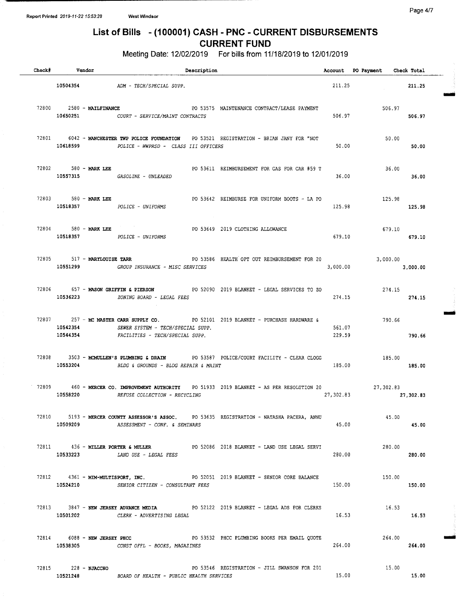## List of Bills - ( 100001) CASH - PNC - CURRENT DISBURSEMENTS CURRENT FUND

|       | Check# Vendor            | Description                                                                                                                                                                 |                  | Account PO Payment Check Total |           |  |
|-------|--------------------------|-----------------------------------------------------------------------------------------------------------------------------------------------------------------------------|------------------|--------------------------------|-----------|--|
|       |                          | 10504354 ADM - TECH/SPECIAL SUPP.                                                                                                                                           | 211.25           |                                | 211.25    |  |
|       | 72800 2580 - MAILFINANCE | PO 53575 MAINTENANCE CONTRACT/LEASE PAYMENT<br>10650251 COURT - SERVICE/MAINT CONTRACTS                                                                                     | 506.97           | 506.97                         | 506.97    |  |
| 72801 | 10618599                 | 6042 - MANCHESTER TWP POLICE FOUNDATION PO 53521 REGISTRATION - BRIAN JANY FOR "NOT<br>POLICE - WWPRSD - CLASS III OFFICERS                                                 | 50.00            | 50.00                          | 50.00     |  |
|       |                          | 72802 580 - MARK LEE THE SERIES OF STRING PO 53611 REIMBURSEMENT FOR GAS FOR CAR #59 T<br>10557315 GASOLINE - UNLEADED                                                      | 36.00            | 36.00                          | 36.00     |  |
|       | 72803 580 - MARK LEE     | PO 53642 REIMBURSE FOR UNIFORM BOOTS - LA PO<br>10518357 POLICE - UNIFORMS                                                                                                  | 125.98           | 125.98                         | 125.98    |  |
|       |                          | 72804 580 - MARK LEE<br>PO 53649 2019 CLOTHING ALLOWANCE<br>10518357 POLICE - UNIFORMS                                                                                      | 679.10           | 679.10                         | 679.10    |  |
|       |                          | 72805 517 - MARYLOUISE TARR <b>EXAMPLE 20 FO 53586 HEALTH</b> OPT OUT REIMBURSEMENT FOR 20<br>10551299 GROUP INSURANCE - MISC SERVICES                                      | 3,000.00         | 3,000.00                       | 3,000.00  |  |
|       | 10536223                 | 72806 657 - MASON GRIFFIN & PIERSON 60 PO 52090 2019 BLANKET - LEGAL SERVICES TO 20<br>ZONING BOARD - LEGAL FEES                                                            | 274.15           | 274.15                         | 274.15    |  |
|       |                          | 72807 257 - MC MASTER CARR SUPPLY CO. PO 52101 2019 BLANKET - PURCHASE HARDWARE &<br>10542354 SEWER SYSTEM - TECH/SPECIAL SUPP.<br>10544354 FACILITIES - TECH/SPECIAL SUPP. | 561.07<br>229.59 | 790.66                         | 790.66    |  |
|       | 10553204                 | 72808 3503 - MCMULLEN'S PLUMBING & DRAIN PO 53587 POLICE/COURT FACILITY - CLEAR CLOGG<br>BLDG & GROUNDS - BLDG REPAIR & MAINT                                               | 185,00           | 185.00                         | 185.00    |  |
|       | 10558220                 | 72809 460 - MERCER CO. IMPROVEMENT AUTHORITY PO 51933 2019 BLANKET - AS PER RESOLUTION 20<br>REFUSE COLLECTION - RECYCLING                                                  |                  | 27,302.83<br>27,302.83         | 27,302.83 |  |
|       | 10509209                 | 72810 5193 - MERCER COUNTY ASSESSOR'S ASSOC. PO 53635 REGISTRATION - NATASHA PACERA, ANNU<br>ASSESSMENT - CONF. & SEMINARS                                                  | 45.00            | 45.00                          | 45.00     |  |
|       |                          | 72811 436 - MILLER PORTER & MULLER PO 52086 2018 BLANKET - LAND USE LEGAL SERVI<br>10533223 LAND USE - LEGAL FEES                                                           | 280.00           | 280.00                         | 280.00    |  |
|       | 10524210                 | PO 52051 2019 BLANKET - SENIOR CORE BALANCE<br>72812 4361 - MIM-MULTISPORT, INC.<br>SENIOR CITIZEN - CONSULTANT FEES                                                        | 150.00           | 150.00                         | 150.00    |  |
|       |                          | 72813 3847 - NEW JERSEY ADVANCE MEDIA PO 52122 2019 BLANKET - LEGAL ADS FOR CLERKS<br>10501202 CLERK - ADVERTISING LEGAL                                                    | 16.53            | 16.53                          | 16.53     |  |
|       |                          | PO 53532 PHCC PLUMBING BOOKS PER EMAIL QUOTE<br>$72814$ 6088 - NEW JERSEY PHCC<br>10538305 CONST OFFL - BOOKS, MAGAZINES                                                    | 264.00           | 264.00                         | 264.00    |  |
|       | 72815 228 - NJACCHO      | PO 53546 REGISTRATION - JILL SWANSON FOR 201<br>10521248 BOARD OF HEALTH - PUBLIC HEALTH SERVICES                                                                           | 15.00            | 15.00                          | 15.00     |  |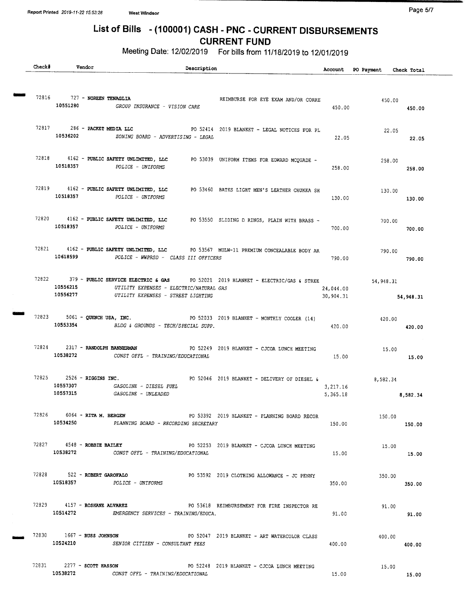aissi

Mossil

mum

# List of Bills - (100001) CASH - PNC - CURRENT DISBURSEMENTS CURRENT FUND

| Check# | Vendor                                   | Description                                                                                                                                                             |                       | Account PO Payment                  | Check Total         |
|--------|------------------------------------------|-------------------------------------------------------------------------------------------------------------------------------------------------------------------------|-----------------------|-------------------------------------|---------------------|
|        | 72816 727 - NOREEN TENAGLIA              | REIMBURSE FOR EYE EXAM AND/OR CORRE                                                                                                                                     |                       | 450.00                              |                     |
|        | 10551280                                 | GROUP INSURANCE - VISION CARE                                                                                                                                           | 450.00                |                                     | 450.00              |
|        |                                          | 72817 286 - PACKET MEDIA LLC PO 52414 2019 BLANKET - LEGAL NOTICES FOR PL<br>10536202 ZONING BOARD - ADVERTISING - LEGAL                                                | 22.05                 | 22.05                               | 22.05               |
|        |                                          | 72818 4162 - PUBLIC SAFETY UNLIMITED, LLC PO 53039 UNIFORM ITEMS FOR EDWARD MCQUADE -<br>10518357 POLICE - UNIFORMS                                                     | 258.00                | 258.00                              | 258.00              |
|        | 10518357                                 | 72819 4162 - PUBLIC SAFETY UNLIMITED, LLC PO 53460 BATES LIGHT MEN'S LEATHER CHUKKA SH<br>POLICE - UNIFORMS                                                             | 130.00                | 130.00                              | 130.00              |
|        | 10518357                                 | 72820 4162 - PUBLIC SAFETY UNLIMITED, LLC PO 53550 SLIDING D RINGS, PLAIN WITH BRASS -<br>POLICE - UNIFORMS                                                             | 700.00                | 700.00                              | 700.00              |
|        |                                          | 72821 4162 - PUBLIC SAFETY UNLIMITED, LLC PO 53567 MULW-11 PREMIUM CONCEALABLE BODY AR<br>10618599 POLICE - WWPRSD - CLASS III OFFICERS                                 | 790.00                | 790.00                              | 790.00              |
|        | 10556215<br>10556277                     | 72822 379 - PUBLIC SERVICE ELECTRIC & GAS PO 52021 2019 BLANKET - ELECTRIC/GAS & STREE<br>UTILITY EXPENSES - ELECTRIC/NATURAL GAS<br>UTILITY EXPENSES - STREET LIGHTING | 24,044.00             | 54, 948.31<br>30, 904.31 54, 948.31 |                     |
|        |                                          | 72823 5061 - QUENCH USA, INC. PO 52033 2019 BLANKET - MONTHLY COOLER (14)<br>10553354 BLDG & GROUNDS - TECH/SPECIAL SUPP.                                               | 420.00                | 420.00                              | 420.00              |
|        |                                          | 72824 2317 - RANDOLPH BANNERMAN<br>PO 52249 2019 BLANKET - CJCOA LUNCH MEETING<br>10538272 CONST OFFL - TRAINING/EDUCATIONAL                                            | 15.00                 | 15.00                               | $\sim 100$<br>15.00 |
|        | 72825 2526 - RIGGINS INC.<br>10557307    | PO 52046 2019 BLANKET - DELIVERY OF DIESEL &<br><i>GASOLINE - DIESEL FUEL</i><br>10557315 GASOLINE - UNLEADED                                                           | 3, 217.16<br>5,365.18 | 8,582.34<br>8,582.34                |                     |
|        | 72826 6064 - RITA M. BERGEN<br>10534250  | PO 53392 2019 BLANKET - PLANNING BOARD RECOR<br>PLANNING BOARD - RECORDING SECRETARY                                                                                    | 150.00                | 150.00                              | 150.00              |
|        | 72827 4548 - ROBBIE BAILEY               | PO 52253 2019 BLANKET - CJCOA LUNCH MEETING<br>10538272 CONST OFFL - TRAINING/EDUCATIONAL                                                                               | 15.00                 | 15.00                               | 15.00               |
|        | 72828 522 - ROBERT GAROFALO              | PO 53592 2019 CLOTHING ALLOWANCE - JC PENNY<br>10518357 POLICE - UNIFORMS                                                                                               | 350.00                | 350.00                              | 350.00              |
|        | 72829 4157 - ROSHANE ALVAREZ<br>10514272 | PO 53618 REIMBURSEMENT FOR FIRE INSPECTOR RE<br>EMERGENCY SERVICES - TRAINING/EDUCA.                                                                                    | 91.00                 | 91.00                               | 91.00               |
|        | $72830$ $1667 -$ RUSS JOHNSON            | PO 52047 2019 BLANKET - ART WATERCOLOR CLASS<br>10524210 SENIOR CITIZEN - CONSULTANT FEES                                                                               | 400.00                | 400.00                              | 400.00              |
|        | 72831 2277 - SCOTT HASSON<br>10538272    | PO 52248 2019 BLANKET - CJCOA LUNCH MEETING<br>CONST OFFL - TRAINING/EDUCATIONAL                                                                                        | 15.00                 | 15.00                               | 15.00               |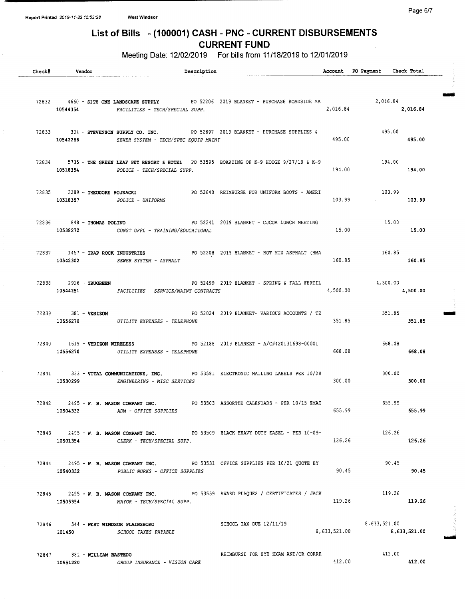# List of Bills - ( 100001) CASH - PNC - CURRENT DISBURSEMENTS CURRENT FUND

Meeting Date: 12/02/2019 For bills from 11/18/2019 to 12/01/2019

| Check# | Vendor                                            | Description                                                        |                                                                                                 |        | Account PO Payment Check Total            |        |
|--------|---------------------------------------------------|--------------------------------------------------------------------|-------------------------------------------------------------------------------------------------|--------|-------------------------------------------|--------|
|        |                                                   | 10544354 FACILITIES - TECH/SPECIAL SUPP.                           | 72832 4660 - SITE ONE LANDSCAPE SUPPLY PO 52206 2019 BLANKET - PURCHASE ROADSIDE MA 2,016.84    |        | 2,016.84 2,016.84                         |        |
|        |                                                   | 10542266 SEWER SYSTEM - TECH/SPEC EQUIP MAINT                      | 72833 304 - STEVENSON SUPPLY CO. INC. 2019 BLANKET - PURCHASE SUPPLIES & 304 - STEVENSON 995.00 | 495.00 | 495.00                                    |        |
|        |                                                   | 10518354 POLICE - TECH/SPECIAL SUPP.                               | 72834 5735 - THE GREEN LEAF PET RESORT & HOTEL PO 53595 BOARDING OF K-9 HODGE 9/27/19 & K-9     | 194.00 | 194.00<br>194.00                          |        |
|        | 10518357 POLICE - UNIFORMS                        |                                                                    | 72835 3289 - THEODORE HOJNACKI THEORY CONSIDER POSS AND REIMBURSE FOR UNIFORM BOOTS - AMERI     |        | $103.99$ 103.99                           |        |
|        | 72836 848 - THOMAS POLINO                         | 10538272 CONST OFFL - TRAINING/EDUCATIONAL                         | PO 52241 2019 BLANKET - CJCOA LUNCH MEETING                                                     | 15.00  | 15.00                                     | 15.00  |
|        |                                                   | 10542302 SEWER SYSTEM - ASPHALT                                    | 72837 1457 - TRAP ROCK INDUSTRIES PO 52208 2019 BLANKET - HOT MIX ASPHALT (HMA                  | 160.85 | 160.85<br>160.85                          |        |
|        |                                                   | 10544251 FACILITIES - SERVICE/MAINT CONTRACTS                      | 72838 2916 - TRUGREEN 2019 2019 BLANKET - SPRING & FALL FERTIL 4,500.00                         |        | $4,500.00$ $4,500.00$                     |        |
|        | 72839 381 - VERIZON                               | 10556270 UTILITY EXPENSES - TELEPHONE                              | PO 52024 2019 BLANKET- VARIOUS ACCOUNTS / TE                                                    | 351.85 | 351.85                                    | 351.85 |
|        |                                                   | 10556270 UTILITY EXPENSES - TELEPHONE                              | 72840 1619 - VERIZON WIRELESS 6 2018 2019 BLANKET - A/C#420131698-00001                         | 668.08 | 668.08<br>668.08                          |        |
|        |                                                   | 10530299 ENGINEERING - MISC SERVICES                               | 72841 333 - VITAL COMMUNICATIONS, INC. PO 53581 ELECTRONIC MAILING LABELS PER 10/28             | 300.00 | 300.00<br>300.00                          |        |
|        | 72842 2495 - W. B. MASON COMPANY INC.<br>10504332 | ADM - OFFICE SUPPLIES                                              | PO 53503 ASSORTED CALENDARS - PER 10/15 EMAI                                                    | 655.99 | 655.99                                    | 655.99 |
|        |                                                   | 10501354 CLERK - TECH/SPECIAL SUPP.                                | 72843 2495 - W. B. MASON COMPANY INC. PO 53509 BLACK HEAVY DUTY EASEL - PER 10-09-              | 126.26 | 126.26                                    | 126.26 |
|        | 10540332                                          | PUBLIC WORKS - OFFICE SUPPLIES                                     | 72844 2495 - W. B. MASON COMPANY INC. PO 53531 OFFICE SUPPLIES PER 10/21 QUOTE BY               | 90.45  | 90.45                                     | 90.45  |
|        |                                                   | 10505354 MAYOR - TECH/SPECIAL SUPP.                                | 72845 2495 - W. B. MASON COMPANY INC. PO 53559 AWARD PLAQUES / CERTIFICATES / JACK              | 119.26 | 119.26                                    | 119.26 |
|        |                                                   | 72846 544 - WEST WINDSOR PLAINSBORO<br>101450 SCHOOL TAXES PAYABLE | SCHOOL TAX DUE 12/11/19                                                                         |        | 8,633,521.00<br>8,633,521.00 8,633,521.00 |        |
|        | 72847 881 - WILLIAM BASTEDO                       |                                                                    | REIMBURSE FOR EYE EXAM AND/OR CORRE                                                             | 412.00 | 412.00                                    | 412.00 |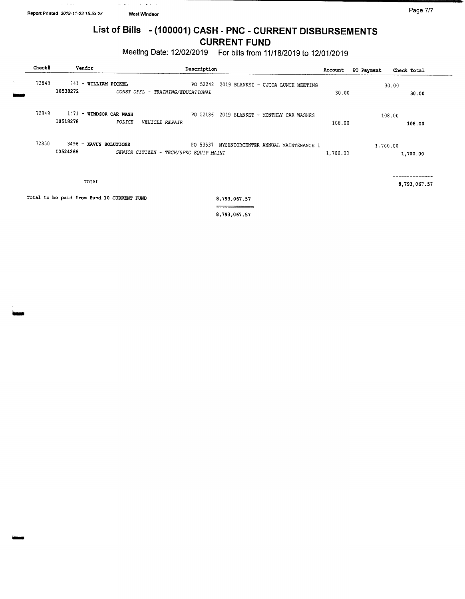. . . . . . . .

w

 $\alpha$  , and  $\beta$  , and  $\beta$  and  $\alpha$ 

 $\sim$   $\pm$ 

# List of Bills - (100001) CASH - PNC - CURRENT DISBURSEMENTS CURRENT FUND

| Check# | Vendor                                     | Description                                   |                                              | Account  | PO Payment | Check Total  |
|--------|--------------------------------------------|-----------------------------------------------|----------------------------------------------|----------|------------|--------------|
| 72848  | 841 - WILLIAM PICKEL<br>10538272           | PO 52242<br>CONST OFFL - TRAINING/EDUCATIONAL | 2019 BLANKET - CJCOA LUNCH MEETING           | 30.00    | 30.00      | 30.00        |
| 72849  | 1471 - WINDSOR CAR WASH<br>10518278        | POLICE - VEHICLE REPAIR                       | PO 52186 2019 BLANKET - MONTHLY CAR WASHES   | 108.00   | 108.00     | 108.00       |
| 72850  | 3496 - XAVUS SOLUTIONS<br>10524266         | SENIOR CITIZEN - TECH/SPEC EQUIP MAINT        | PO 53537 MYSENIORCENTER ANNUAL MAINTENANCE 1 | 1,700.00 | 1,700.00   | 1,700.00     |
|        | TOTAL                                      |                                               |                                              |          |            | 8,793,067.57 |
|        | Total to be paid from Fund 10 CURRENT FUND |                                               | 8,793,067.57                                 |          |            |              |
|        |                                            |                                               | 8,793,067.57                                 |          |            |              |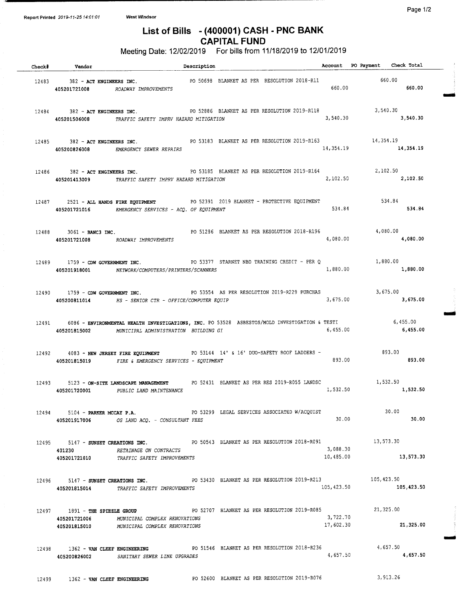## List of Bills - (400001) CASH - PNC BANK CAPITAL FUND

Meeting Date: 12/02/2019 For bills from 11/18/2019 to 12/01/2019

| Check# Vendor                                  | Description                                                                                                                                                        |                       | Account PO Payment Check Total     |            |
|------------------------------------------------|--------------------------------------------------------------------------------------------------------------------------------------------------------------------|-----------------------|------------------------------------|------------|
|                                                | 12483 382 - ACT ENGINEERS INC. PO 50698 BLANKET AS PER RESOLUTION 2018-R11 660.00<br>405201721008 ROADWAY IMPROVEMENTS                                             | 660.00                |                                    | 660.00     |
| 405201506008                                   | 12484 382 - ACT ENGINEERS INC. 2019-BLANKET AS PER RESOLUTION 2019-R118 3,540.30<br>TRAFFIC SAFETY IMPRV HAZARD MITIGATION                                         | 3,540.30              |                                    | 3,540.30   |
|                                                | 12485 382 - ACT ENGINEERS INC. PO 53183 BLANKET AS PER RESOLUTION 2019-R163<br>405200826008 EMERGENCY SEWER REPAIRS                                                |                       | 14,354.19<br>14, 354.19 14, 354.19 |            |
|                                                | 12486 382 - ACT ENGINEERS INC. 20 20 53185 BLANKET AS PER RESOLUTION 2019-R164 2,102.50<br>405201413009 TRAFFIC SAFETY IMPRV HAZARD MITIGATION                     | 2,102.50              |                                    | 2,102.50   |
|                                                | 12487 2521 - ALL HANDS FIRE EQUIPMENT PO 52391 2019 BLANKET - PROTECTIVE EQUIPMENT<br>405201721016 EMERGENCY SERVICES - ACQ. OF EQUIPMENT                          | 534.84                | $534.84$<br>534.84                 |            |
|                                                | 12488 3061 - BANC3 INC. THE RESOLUTION 2018-R196<br>405201721008 ROADWAY IMPROVEMENTS                                                                              |                       | 4,080.00<br>4,080.00 4,080.00      |            |
|                                                | 12489 1759 - CDW GOVERNMENT INC. PO 53377 STARNET NBD TRAINING CREDIT - PER Q 4,880.00<br>405201918001 NETWORK/COMPUTERS/PRINTERS/SCANNERS                         | 1,880.00              |                                    | 1,880.00   |
| $12490$ $1759$ - CDW GOVERNMENT INC.           | PO 53554 AS PER RESOLUTION 2019-R229 PURCHAS<br>405200811014 HS - SENIOR CTR - OFFICE/COMPUTER EQUIP                                                               | 3,675.00              | 3,675.00                           | 3,675.00   |
|                                                | 12491 6086 - ENVIRONMENTAL HEALTH INVESTIGATIONS, INC. PO 53528 ASBESTOS/MOLD INVESTIGATION & TESTI 6,455.00<br>405201815002 MUNICIPAL ADMINISTRATION BUILDING GI  | 6,455.00              |                                    | 6,455.00   |
|                                                | 12492 4083 - NEW JERSEY FIRE EQUIPMENT PO 53144 14' & 16' DUO-SAFETY ROOF LADDERS -<br>405201815019 FIRE & EMERGENCY SERVICES - EQUIPMENT                          | 893.00                | 893.00                             | 893.00     |
| 405201720001                                   | PO 52431 BLANKET AS PER RES 2019-R055 LANDSC<br>12493 5123 - ON-SITE LANDSCAPE MANAGEMENT<br>PUBLIC LAND MAINTENANCE                                               |                       | 1,532.50<br>1,532.50               | 1,532.50   |
|                                                | 12494 5104 - PARKER MCCAY P.A. PO 53299 LEGAL SERVICES ASSOCIATED W/ACQUIST<br>405201917006 OS LAND ACQ. - CONSULTANT FEES                                         | 30.00                 | 30.00                              | 30.00      |
| 401230                                         | PO 50543 BLANKET AS PER RESOLUTION 2018-R091 13,573.30<br>12495 5147 - SUNSET CREATIONS INC.<br>RETAINAGE ON CONTRACTS<br>405201721010 TRAFFIC SAFETY IMPROVEMENTS | 3,088.30<br>10,485.00 |                                    | 13,573.30  |
| 405201815014                                   | 12496 5147 - SUNSET CREATIONS INC. 20 20 23430 BLANKET AS PER RESOLUTION 2019-R213 2056 105,423.50<br>TRAFFIC SAFETY IMPROVEMENTS                                  | 105,423.50            |                                    | 105,423.50 |
| 12497 1891 - THE SPIEZLE GROUP<br>405201721006 | PO 52707 BLANKET AS PER RESOLUTION 2019-R085<br>MUNICIPAL COMPLEX RENOVATIONS<br>405201815010 MUNICIPAL COMPLEX RENOVATIONS                                        | 3,722.70<br>17,602.30 | 21,325.00                          | 21,325.00  |
| 405200826002                                   | 12498 1362 - VAN CLEEF ENGINEERING PO 51546 BLANKET AS PER RESOLUTION 2018-R236<br>SANITARY SEWER LINE UPGRADES                                                    | 4,657.50              | 4,657.50                           | 4,657.50   |

Page 1/2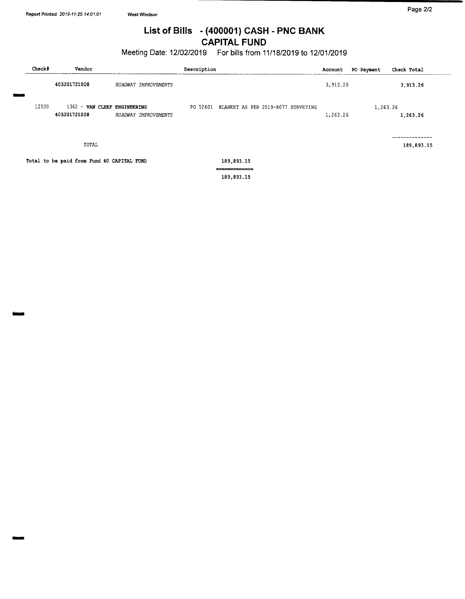## Page 2/2

## List of Bills - (400001) CASH - PNC BANK CAPITAL FUND

| <b>Check#</b> | Vendor                                       |                      | Description |                                    | Account  | PO Payment | Check Total |
|---------------|----------------------------------------------|----------------------|-------------|------------------------------------|----------|------------|-------------|
|               | 405201721008                                 | ROADWAY IMPROVEMENTS |             |                                    | 3,913.26 |            | 3,913.26    |
| 12500         | 1362 - VAN CLEEF ENGINEERING<br>405201721008 | ROADWAY IMPROVEMENTS | PO 52601    | BLANKET AS PER 2019-R077 SURVEYING | 1,263.26 | 1,263.26   | 1,263.26    |
|               | TOTAL                                        |                      |             |                                    |          |            | 189,893.15  |
|               | Total to be paid from Fund 40 CAPITAL FUND   |                      |             | 189,893.15<br>________________     |          |            |             |
|               |                                              |                      |             | 189,893.15                         |          |            |             |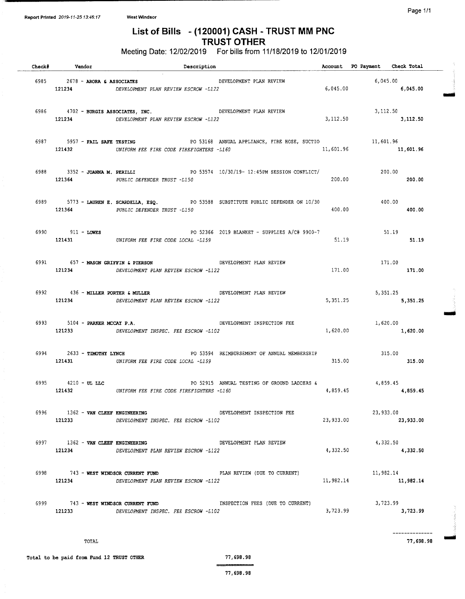## List of Bills - ( 120001) CASH - TRUST MM PNC TRUST OTHER

Meeting Date: 12/02/2019 For bills from 11/18/2019 to 12/01/2019

| Check# Vendor                                  | Description                                                                                                                      |           | Account PO Payment Check Total                  |           |
|------------------------------------------------|----------------------------------------------------------------------------------------------------------------------------------|-----------|-------------------------------------------------|-----------|
| 6985 2678 - ARORA & ASSOCIATES                 | DEVELOPMENT PLAN REVIEW<br>121234 DEVELOPMENT PLAN REVIEW ESCROW -L122                                                           |           | 6,045.00<br>$6,045.00$ 6,045.00                 |           |
|                                                | 6986 4702 - BURGIS ASSOCIATES, INC. THE DEVELOPMENT PLAN REVIEW<br>121234 DEVELOPMENT PLAN REVIEW ESCROW -L122                   |           | 3, 112.50<br>$3,112.50$<br>3,112.50<br>3,112.50 |           |
|                                                | 6987 5957 - FAIL SAFE TESTING 69 PO 53168 ANNUAL APPLIANCE, FIRE HOSE, SUCTIO<br>121432 UNIFORM FEE FIRE CODE FIREFIGHTERS -L160 | 11,601.96 | 11,601.96<br>11,601.96                          |           |
|                                                | 6988 3352 - JOANNA M. PERILLI PO 53574 10/30/19-12:45PM SESSION CONFLICT/<br>121364 PUBLIC DEFENDER TRUST -L150                  | 200.00    | 200.00                                          | 200.00    |
| 121364                                         | 6989 5773 - LAUREN E. SCARDELLA, ESQ. PO 53588 SUBSTITUTE PUBLIC DEFENDER ON 10/30<br>PUBLIC DEFENDER TRUST -L150                | 400.00    | 400.00<br>400.00                                |           |
| 6990 911 - LOWES                               | PO 52366 2019 BLANKET - SUPPLIES A/C# 9900-7<br>121431 UNIFORM FEE FIRE CODE LOCAL -L159                                         | 51.19     | 51.19<br>51.19                                  |           |
|                                                | 6991 657 - MASON GRIFFIN & PIERSON BEVELOPMENT PLAN REVIEW<br>121234 DEVELOPMENT PLAN REVIEW ESCROW -L122                        | 171.00    | 171.00                                          | 171.00    |
| 6992 436 - MILLER PORTER & MULLER              | DEVELOPMENT PLAN REVIEW<br>121234 DEVELOPMENT PLAN REVIEW ESCROW -L122                                                           | 5,351.25  | 5,351.25<br>5, 351.25                           |           |
|                                                | 6993 5104 - PARKER MCCAY P.A. SERIES AND DEVELOPMENT INSPECTION FEE<br>121233 DEVELOPMENT INSPEC. FEE ESCROW -L102               | 1,620.00  | 1,620.00<br>1,620.00                            |           |
|                                                | 6994 2633 - TIMOTHY LYNCH CONTROL 20053594 REIMBURSEMENT OF ANNUAL MEMBERSHIP<br>121431 UNIFORM FEE FIRE CODE LOCAL -L159        | 315.00    | 315.00<br>315.00                                |           |
| 6995 4210 - UL LLC                             | PO 52915 ANNUAL TESTING OF GROUND LADDERS &<br>121432 UNIFORM FEE FIRE CODE FIREFIGHTERS -L160                                   | 4,859.45  | $4,859.45$<br>$4,859.45$<br>$4,859.45$          |           |
| 6996 1362 - VAN CLEEF ENGINEERING<br>121233    | DEVELOPMENT INSPECTION FEE<br>DEVELOPMENT INSPEC. FEE ESCROW -L102                                                               | 23,933.00 | 23,933.00                                       | 23,933.00 |
| 6997 1362 - VAN CLEEF ENGINEERING<br>121234    | DEVELOPMENT PLAN REVIEW<br>DEVELOPMENT PLAN REVIEW ESCROW -L122                                                                  | 4,332.50  | 4,332.50                                        | 4,332.50  |
| 6998 743 - WEST WINDSOR CURRENT FUND<br>121234 | PLAN REVIEW (DUE TO CURRENT)<br>DEVELOPMENT PLAN REVIEW ESCROW -L122                                                             | 11,982.14 | 11,982.14                                       | 11,982.14 |
| 121233 and the state of $\sim$                 | 6999 743 - WEST WINDSOR CURRENT FUND 100 1NSPECTION FEES (DUE TO CURRENT)<br>DEVELOPMENT INSPEC. FEE ESCROW -L102                | 3,723.99  | 3,723.99                                        | 3,723.99  |
| TOTAL                                          |                                                                                                                                  |           |                                                 | 77,698.98 |

Total to be paid from Fund 12 TRUST OTHER 77, 698.98

Page 1/1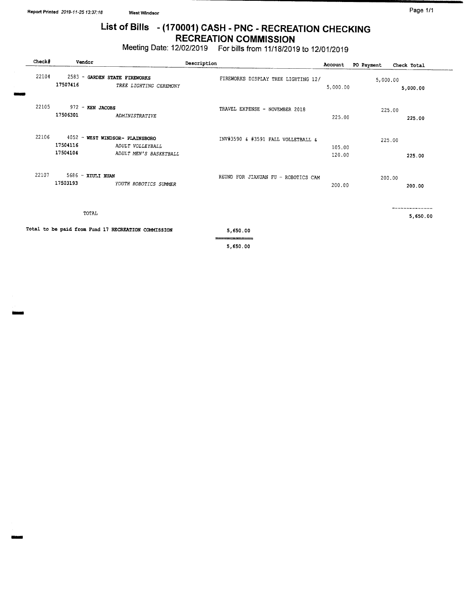# List of Bills - (170001) CASH - PNC - RECREATION CHECKING RECREATION COMMISSION

Meeting Date: 12/02/2019 For bills from 11/18/2019 to 12/01/2019

| Check# | Vendor                                                  | Description                                |                                     | Account          | PO Payment | Check Total |
|--------|---------------------------------------------------------|--------------------------------------------|-------------------------------------|------------------|------------|-------------|
| 22104  | 2583 - GARDEN STATE FIREWORKS<br>17507416               | TREE LIGHTING CEREMONY                     | FIREWORKS DISPLAY TREE LIGHTING 12/ | 5,000.00         | 5,000.00   | 5,000.00    |
| 22105  | 972 - KEN JACOBS<br>17506301                            | ADMINISTRATIVE                             | TRAVEL EXPENSE - NOVEMBER 2018      | 225.00           | 225.00     | 225.00      |
| 22106  | 4052 - WEST WINDSOR- PLAINSBORO<br>17504116<br>17504104 | ADULT VOLLEYBALL<br>ADULT MEN'S BASKETBALL | INV#3590 & #3591 FALL VOLLETBALL &  | 105.00<br>120.00 | 225.00     | 225.00      |
| 22107  | 5686 - XIULI XUAN<br>17503193                           | YOUTH ROBOTICS SUMMER                      | REUND FOR JIAXUAN FU - ROBOTICS CAM | 200.00           | 200.00     | 200.00      |

TOTAL

Immo

4

5, 650. 00

--------------

Total to be paid from Fund <sup>17</sup> RECREATION COMMISSION 5, 650. <sup>00</sup>

5, 650. 00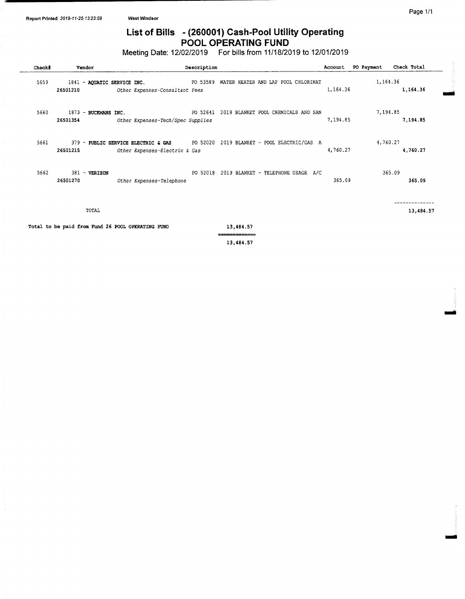# List of Bills - (260001) Cash-Pool Utility Operating POOL OPERATING FUND

Meeting Date: 12/02/2019 For bills from 11/18/2019 to 12/01/2019

| Check# | Vendor                                  | Description                                                                      |                                     | Account  | PO Payment | Check Total |
|--------|-----------------------------------------|----------------------------------------------------------------------------------|-------------------------------------|----------|------------|-------------|
| 5659   | 1841 - AQUATIC SERVICE INC.<br>26501210 | PO 53589<br>Other Expenses-Consultant Fees                                       | WATER HEATER AND LAP POOL CHLORINAT | 1,164.36 | 1,164.36   | 1,164.36    |
| 5660   | 1873 - BUCKMANS INC.<br>26501354        | PO 52641<br>Other Expenses-Tech/Spec Supplies                                    | 2019 BLANKET POOL CHEMICALS AND SAN | 7,194.85 | 7,194.85   | 7,194.85    |
| 5661   | 26501215                                | PO 52020<br>379 - PUBLIC SERVICE ELECTRIC & GAS<br>Other Expenses-Electric & Gas | 2019 BLANKET - POOL ELECTRIC/GAS A  | 4,760.27 | 4,760.27   | 4,760.27    |
| 5662   | $381 - VERIZON$<br>26501270             | PO 52018<br>Other Expenses-Telephone                                             | 2019 BLANKET - TELEPHONE USAGE A/C  | 365.09   | 365.09     | 365.09      |
|        |                                         |                                                                                  |                                     |          |            |             |

 $_{\rm TOTAL}$  13,484.57 and 13,484.57 and 13,484.57 and 13,484.57 and 13,484.57 and 13,484.57 and 13,484.57 and 13,484.57 and 13,484.57 and 13,484.57 and 13,484.57 and 13,484.57 and 13,484.57 and 13,484.57 and 13,484.57 and 1

emme

Total to be paid from Fund 26 POOL OPERATING FUND 13,484.57

13, 484. 57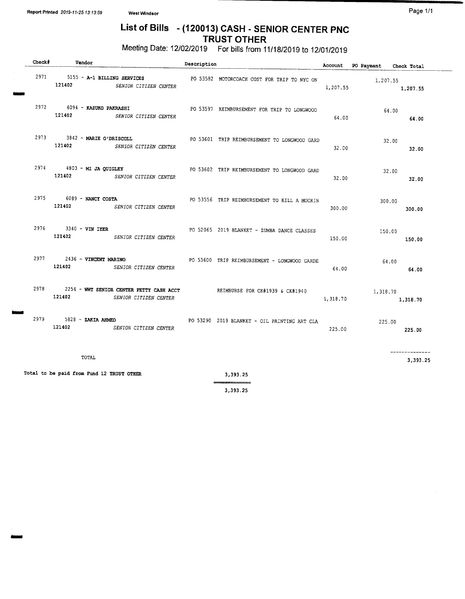<u>Time Simon B</u>

# List of Bills - (120013) CASH - SENIOR CENTER PNC TRUST OTHER

Meeting Date: 12/02/2019 For bills from 11/18/2019 to 12/01/2019

| Check# | Vendor                                    |                                                                   | Description |                                                                         |          | Account PO Payment | Check Total                |
|--------|-------------------------------------------|-------------------------------------------------------------------|-------------|-------------------------------------------------------------------------|----------|--------------------|----------------------------|
| 2971   | 121402                                    | SENIOR CITIZEN CENTER                                             |             | 5155 - A-1 BILLING SERVICES PO 53582 MOTORCOACH COST FOR TRIP TO NYC ON | 1,207.55 | 1,207.55           | 1,207.55                   |
|        | 2972 6094 - KAZUKO PAKRASHI<br>121402     | SENIOR CITIZEN CENTER                                             |             | PO 53597 REIMBURSEMENT FOR TRIP TO LONGWOOD                             | 64.00    | 64.00              | 64.00                      |
| 2973   | 121402                                    | SENIOR CITIZEN CENTER                                             |             |                                                                         | 32.00    | 32.00              | 32.00                      |
|        |                                           | 121402 SENIOR CITIZEN CENTER                                      |             | 2974 4803 - MI JA QUIGLEY PO 53602 TRIP REIMBURSEMENT TO LONGWOOD GARD  | 32.00    | 32.00              | 32.00                      |
|        | 6089 - NANCY COSTA<br>121402              | SENIOR CITIZEN CENTER                                             |             | PO 53556 TRIP REIMBURSEMENT TO KILL A MOCKIN                            | 300.00   | 300.00             | 300.00                     |
|        | 2976 3340 - VIN IYER                      | 121402 SENIOR CITIZEN CENTER                                      |             | PO 52065 2019 BLANKET - ZUMBA DANCE CLASSES                             | 150.00   | 150.00             | 150.00                     |
|        | 121402                                    | SENIOR CITIZEN CENTER                                             |             | 2977 2436 - VINCENT MARINO BOSS600 TRIP REIMBURSEMENT - LONGWOOD GARDE  | 64.00    | 64.00              | 64.00                      |
| 2978   | 121402                                    | 2254 - WWT SENIOR CENTER PETTY CASH ACCT<br>SENIOR CITIZEN CENTER |             | REIMBURSE FOR CK#1939 & CK#1940                                         | 1,318.70 | 1,318.70           | 1,318.70                   |
| 2979   | 5828 - ZAKIA AHMED<br>121402              | SENIOR CITIZEN CENTER                                             |             | PO 53290 2019 BLANKET - OIL PAINTING ART CLA                            | 225.00   | 225.00             | 225.00                     |
|        | TOTAL                                     |                                                                   |             |                                                                         |          |                    | --------------<br>3,393.25 |
|        | Total to be paid from Fund 12 TRUST OTHER |                                                                   |             | 3,393.25                                                                |          |                    |                            |

3, 393. 25